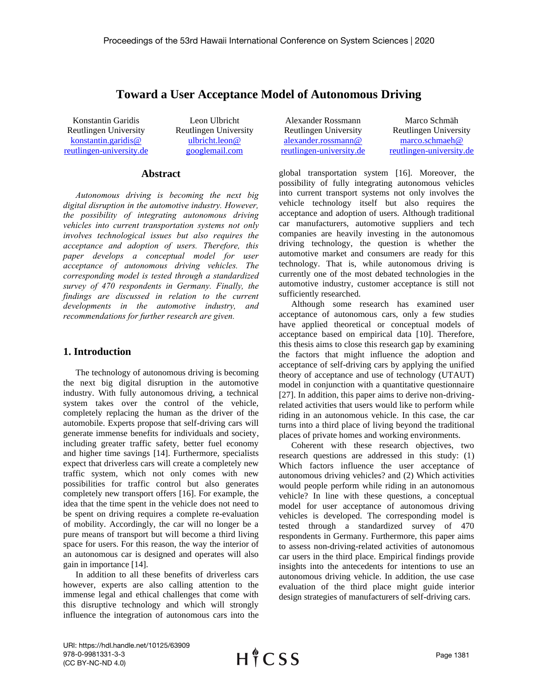# **Toward a User Acceptance Model of Autonomous Driving**

Konstantin Garidis Reutlingen University [konstantin.garidis@](mailto:konstantin.garidis@%0Breutlingen-university.de) [reutlingen-university.de](mailto:konstantin.garidis@%0Breutlingen-university.de)

Leon Ulbricht Reutlingen University [ulbricht.leon@](mailto:ulbricht.leon@%0Bgooglemail.com) [googlemail.com](mailto:ulbricht.leon@%0Bgooglemail.com)

#### **Abstract**

*Autonomous driving is becoming the next big digital disruption in the automotive industry. However, the possibility of integrating autonomous driving vehicles into current transportation systems not only involves technological issues but also requires the acceptance and adoption of users. Therefore, this paper develops a conceptual model for user acceptance of autonomous driving vehicles. The corresponding model is tested through a standardized survey of 470 respondents in Germany. Finally, the findings are discussed in relation to the current developments in the automotive industry, and recommendations for further research are given.*

### **1. Introduction**

The technology of autonomous driving is becoming the next big digital disruption in the automotive industry. With fully autonomous driving, a technical system takes over the control of the vehicle, completely replacing the human as the driver of the automobile. Experts propose that self-driving cars will generate immense benefits for individuals and society, including greater traffic safety, better fuel economy and higher time savings [14]. Furthermore, specialists expect that driverless cars will create a completely new traffic system, which not only comes with new possibilities for traffic control but also generates completely new transport offers [16]. For example, the idea that the time spent in the vehicle does not need to be spent on driving requires a complete re-evaluation of mobility. Accordingly, the car will no longer be a pure means of transport but will become a third living space for users. For this reason, the way the interior of an autonomous car is designed and operates will also gain in importance [14].

In addition to all these benefits of driverless cars however, experts are also calling attention to the immense legal and ethical challenges that come with this disruptive technology and which will strongly influence the integration of autonomous cars into the

Alexander Rossmann Reutlingen University [alexander.rossmann@](mailto:alexander.rossmann@%0Breutlingen-university.de) [reutlingen-university.de](mailto:alexander.rossmann@%0Breutlingen-university.de)

Marco Schmäh Reutlingen University [marco.schmaeh@](mailto:marco.schmaeh@%0Breutlingen-university.de) [reutlingen-university.de](mailto:marco.schmaeh@%0Breutlingen-university.de)

global transportation system [16]. Moreover, the possibility of fully integrating autonomous vehicles into current transport systems not only involves the vehicle technology itself but also requires the acceptance and adoption of users. Although traditional car manufacturers, automotive suppliers and tech companies are heavily investing in the autonomous driving technology, the question is whether the automotive market and consumers are ready for this technology. That is, while autonomous driving is currently one of the most debated technologies in the automotive industry, customer acceptance is still not sufficiently researched.

Although some research has examined user acceptance of autonomous cars, only a few studies have applied theoretical or conceptual models of acceptance based on empirical data [10]. Therefore, this thesis aims to close this research gap by examining the factors that might influence the adoption and acceptance of self-driving cars by applying the unified theory of acceptance and use of technology (UTAUT) model in conjunction with a quantitative questionnaire [27]. In addition, this paper aims to derive non-drivingrelated activities that users would like to perform while riding in an autonomous vehicle. In this case, the car turns into a third place of living beyond the traditional places of private homes and working environments.

Coherent with these research objectives, two research questions are addressed in this study: (1) Which factors influence the user acceptance of autonomous driving vehicles? and (2) Which activities would people perform while riding in an autonomous vehicle? In line with these questions, a conceptual model for user acceptance of autonomous driving vehicles is developed. The corresponding model is tested through a standardized survey of 470 respondents in Germany. Furthermore, this paper aims to assess non-driving-related activities of autonomous car users in the third place. Empirical findings provide insights into the antecedents for intentions to use an autonomous driving vehicle. In addition, the use case evaluation of the third place might guide interior design strategies of manufacturers of self-driving cars.

URI: https://hdl.handle.net/10125/63909 978-0-9981331-3-3 (CC BY-NC-ND 4.0)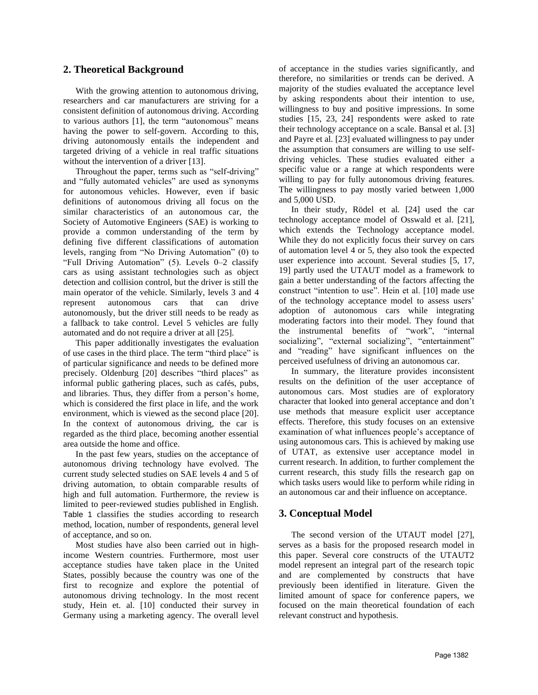### **2. Theoretical Background**

With the growing attention to autonomous driving, researchers and car manufacturers are striving for a consistent definition of autonomous driving. According to various authors [1], the term "autonomous" means having the power to self-govern. According to this, driving autonomously entails the independent and targeted driving of a vehicle in real traffic situations without the intervention of a driver [13].

Throughout the paper, terms such as "self-driving" and "fully automated vehicles" are used as synonyms for autonomous vehicles. However, even if basic definitions of autonomous driving all focus on the similar characteristics of an autonomous car, the Society of Automotive Engineers (SAE) is working to provide a common understanding of the term by defining five different classifications of automation levels, ranging from "No Driving Automation" (0) to "Full Driving Automation" (5). Levels 0–2 classify cars as using assistant technologies such as object detection and collision control, but the driver is still the main operator of the vehicle. Similarly, levels 3 and 4 represent autonomous cars that can drive autonomously, but the driver still needs to be ready as a fallback to take control. Level 5 vehicles are fully automated and do not require a driver at all [25].

This paper additionally investigates the evaluation of use cases in the third place. The term "third place" is of particular significance and needs to be defined more precisely. Oldenburg [20] describes "third places" as informal public gathering places, such as cafés, pubs, and libraries. Thus, they differ from a person's home, which is considered the first place in life, and the work environment, which is viewed as the second place [20]. In the context of autonomous driving, the car is regarded as the third place, becoming another essential area outside the home and office.

In the past few years, studies on the acceptance of autonomous driving technology have evolved. The current study selected studies on SAE levels 4 and 5 of driving automation, to obtain comparable results of high and full automation. Furthermore, the review is limited to peer-reviewed studies published in English. [Table 1](#page-2-0) classifies the studies according to research method, location, number of respondents, general level of acceptance, and so on.

Most studies have also been carried out in highincome Western countries. Furthermore, most user acceptance studies have taken place in the United States, possibly because the country was one of the first to recognize and explore the potential of autonomous driving technology. In the most recent study, Hein et. al. [10] conducted their survey in Germany using a marketing agency. The overall level of acceptance in the studies varies significantly, and therefore, no similarities or trends can be derived. A majority of the studies evaluated the acceptance level by asking respondents about their intention to use, willingness to buy and positive impressions. In some studies [15, 23, 24] respondents were asked to rate their technology acceptance on a scale. Bansal et al. [3] and Payre et al. [23] evaluated willingness to pay under the assumption that consumers are willing to use selfdriving vehicles. These studies evaluated either a specific value or a range at which respondents were willing to pay for fully autonomous driving features. The willingness to pay mostly varied between 1,000 and 5,000 USD.

In their study, Rödel et al. [24] used the car technology acceptance model of Osswald et al. [21], which extends the Technology acceptance model. While they do not explicitly focus their survey on cars of automation level 4 or 5, they also took the expected user experience into account. Several studies [5, 17, 19] partly used the UTAUT model as a framework to gain a better understanding of the factors affecting the construct "intention to use". Hein et al. [10] made use of the technology acceptance model to assess users' adoption of autonomous cars while integrating moderating factors into their model. They found that the instrumental benefits of "work", "internal socializing", "external socializing", "entertainment" and "reading" have significant influences on the perceived usefulness of driving an autonomous car.

In summary, the literature provides inconsistent results on the definition of the user acceptance of autonomous cars. Most studies are of exploratory character that looked into general acceptance and don't use methods that measure explicit user acceptance effects. Therefore, this study focuses on an extensive examination of what influences people's acceptance of using autonomous cars. This is achieved by making use of UTAT, as extensive user acceptance model in current research. In addition, to further complement the current research, this study fills the research gap on which tasks users would like to perform while riding in an autonomous car and their influence on acceptance.

### **3. Conceptual Model**

The second version of the UTAUT model [27], serves as a basis for the proposed research model in this paper. Several core constructs of the UTAUT2 model represent an integral part of the research topic and are complemented by constructs that have previously been identified in literature. Given the limited amount of space for conference papers, we focused on the main theoretical foundation of each relevant construct and hypothesis.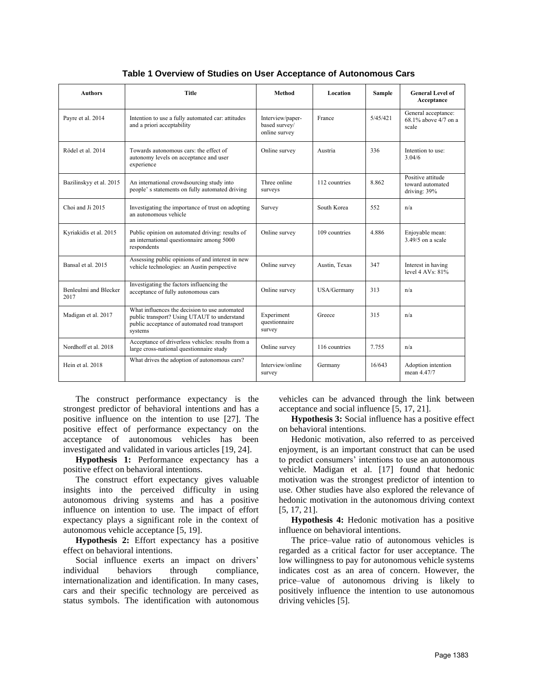<span id="page-2-0"></span>

| <b>Authors</b>                | <b>Title</b>                                                                                                                                             | <b>Method</b>                                      | Location      | Sample   | <b>General Level of</b><br>Acceptance                 |
|-------------------------------|----------------------------------------------------------------------------------------------------------------------------------------------------------|----------------------------------------------------|---------------|----------|-------------------------------------------------------|
| Payre et al. 2014             | Intention to use a fully automated car: attitudes<br>and a priori acceptability                                                                          | Interview/paper-<br>based survey/<br>online survey | France        | 5/45/421 | General acceptance:<br>68.1% above 4/7 on a<br>scale  |
| Rödel et al. 2014             | Towards autonomous cars: the effect of<br>autonomy levels on acceptance and user<br>experience                                                           | Online survey                                      | Austria       | 336      | Intention to use:<br>3.04/6                           |
| Bazilinskyy et al. 2015       | An international crowdsourcing study into<br>people's statements on fully automated driving                                                              | Three online<br>surveys                            | 112 countries | 8.862    | Positive attitude<br>toward automated<br>driving: 39% |
| Choi and Ji 2015              | Investigating the importance of trust on adopting<br>an autonomous vehicle                                                                               | Survey                                             | South Korea   | 552      | n/a                                                   |
| Kyriakidis et al. 2015        | Public opinion on automated driving: results of<br>an international questionnaire among 5000<br>respondents                                              | Online survey                                      | 109 countries | 4.886    | Enjoyable mean:<br>$3.49/5$ on a scale                |
| Bansal et al. 2015            | Assessing public opinions of and interest in new<br>vehicle technologies: an Austin perspective                                                          | Online survey                                      | Austin, Texas | 347      | Interest in having<br>level $4$ AVs: $81\%$           |
| Benleulmi and Blecker<br>2017 | Investigating the factors influencing the<br>acceptance of fully autonomous cars                                                                         | Online survey                                      | USA/Germany   | 313      | n/a                                                   |
| Madigan et al. 2017           | What influences the decision to use automated<br>public transport? Using UTAUT to understand<br>public acceptance of automated road transport<br>systems | Experiment<br>questionnaire<br>survey              | Greece        | 315      | n/a                                                   |
| Nordhoff et al. 2018          | Acceptance of driverless vehicles: results from a<br>large cross-national questionnaire study                                                            | Online survey                                      | 116 countries | 7.755    | n/a                                                   |
| Hein et al. 2018              | What drives the adoption of autonomous cars?                                                                                                             | Interview/online<br>survey                         | Germany       | 16/643   | Adoption intention<br>mean 4.47/7                     |

**Table 1 Overview of Studies on User Acceptance of Autonomous Cars**

The construct performance expectancy is the strongest predictor of behavioral intentions and has a positive influence on the intention to use [27]. The positive effect of performance expectancy on the acceptance of autonomous vehicles has been investigated and validated in various articles [19, 24].

**Hypothesis 1:** Performance expectancy has a positive effect on behavioral intentions.

The construct effort expectancy gives valuable insights into the perceived difficulty in using autonomous driving systems and has a positive influence on intention to use. The impact of effort expectancy plays a significant role in the context of autonomous vehicle acceptance [5, 19].

**Hypothesis 2:** Effort expectancy has a positive effect on behavioral intentions.

Social influence exerts an impact on drivers' individual behaviors through compliance, internationalization and identification. In many cases, cars and their specific technology are perceived as status symbols. The identification with autonomous vehicles can be advanced through the link between acceptance and social influence [5, 17, 21].

**Hypothesis 3:** Social influence has a positive effect on behavioral intentions.

Hedonic motivation, also referred to as perceived enjoyment, is an important construct that can be used to predict consumers' intentions to use an autonomous vehicle. Madigan et al. [17] found that hedonic motivation was the strongest predictor of intention to use. Other studies have also explored the relevance of hedonic motivation in the autonomous driving context [5, 17, 21].

**Hypothesis 4:** Hedonic motivation has a positive influence on behavioral intentions.

The price–value ratio of autonomous vehicles is regarded as a critical factor for user acceptance. The low willingness to pay for autonomous vehicle systems indicates cost as an area of concern. However, the price–value of autonomous driving is likely to positively influence the intention to use autonomous driving vehicles [5].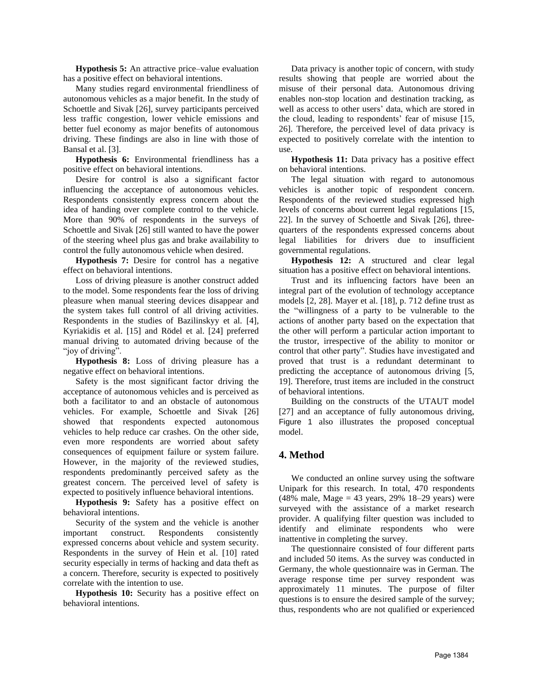**Hypothesis 5:** An attractive price–value evaluation has a positive effect on behavioral intentions.

Many studies regard environmental friendliness of autonomous vehicles as a major benefit. In the study of Schoettle and Sivak [26], survey participants perceived less traffic congestion, lower vehicle emissions and better fuel economy as major benefits of autonomous driving. These findings are also in line with those of Bansal et al. [3].

**Hypothesis 6:** Environmental friendliness has a positive effect on behavioral intentions.

Desire for control is also a significant factor influencing the acceptance of autonomous vehicles. Respondents consistently express concern about the idea of handing over complete control to the vehicle. More than 90% of respondents in the surveys of Schoettle and Sivak [26] still wanted to have the power of the steering wheel plus gas and brake availability to control the fully autonomous vehicle when desired.

**Hypothesis 7:** Desire for control has a negative effect on behavioral intentions.

Loss of driving pleasure is another construct added to the model. Some respondents fear the loss of driving pleasure when manual steering devices disappear and the system takes full control of all driving activities. Respondents in the studies of Bazilinskyy et al. [4], Kyriakidis et al. [15] and Rödel et al. [24] preferred manual driving to automated driving because of the "joy of driving".

**Hypothesis 8:** Loss of driving pleasure has a negative effect on behavioral intentions.

Safety is the most significant factor driving the acceptance of autonomous vehicles and is perceived as both a facilitator to and an obstacle of autonomous vehicles. For example, Schoettle and Sivak [26] showed that respondents expected autonomous vehicles to help reduce car crashes. On the other side, even more respondents are worried about safety consequences of equipment failure or system failure. However, in the majority of the reviewed studies, respondents predominantly perceived safety as the greatest concern. The perceived level of safety is expected to positively influence behavioral intentions.

**Hypothesis 9:** Safety has a positive effect on behavioral intentions.

Security of the system and the vehicle is another important construct. Respondents consistently expressed concerns about vehicle and system security. Respondents in the survey of Hein et al. [10] rated security especially in terms of hacking and data theft as a concern. Therefore, security is expected to positively correlate with the intention to use.

**Hypothesis 10:** Security has a positive effect on behavioral intentions.

Data privacy is another topic of concern, with study results showing that people are worried about the misuse of their personal data. Autonomous driving enables non-stop location and destination tracking, as well as access to other users' data, which are stored in the cloud, leading to respondents' fear of misuse [15, 26]. Therefore, the perceived level of data privacy is expected to positively correlate with the intention to use.

**Hypothesis 11:** Data privacy has a positive effect on behavioral intentions.

The legal situation with regard to autonomous vehicles is another topic of respondent concern. Respondents of the reviewed studies expressed high levels of concerns about current legal regulations [15, 22]. In the survey of Schoettle and Sivak [26], threequarters of the respondents expressed concerns about legal liabilities for drivers due to insufficient governmental regulations.

**Hypothesis 12:** A structured and clear legal situation has a positive effect on behavioral intentions.

Trust and its influencing factors have been an integral part of the evolution of technology acceptance models [2, 28]. Mayer et al. [18], p. 712 define trust as the "willingness of a party to be vulnerable to the actions of another party based on the expectation that the other will perform a particular action important to the trustor, irrespective of the ability to monitor or control that other party". Studies have investigated and proved that trust is a redundant determinant to predicting the acceptance of autonomous driving [5, 19]. Therefore, trust items are included in the construct of behavioral intentions.

Building on the constructs of the UTAUT model [27] and an acceptance of fully autonomous driving, [Figure 1](#page-6-0) also illustrates the proposed conceptual model.

### **4. Method**

We conducted an online survey using the software Unipark for this research. In total, 470 respondents (48% male, Mage = 43 years, 29% 18–29 years) were surveyed with the assistance of a market research provider. A qualifying filter question was included to identify and eliminate respondents who were inattentive in completing the survey.

The questionnaire consisted of four different parts and included 50 items. As the survey was conducted in Germany, the whole questionnaire was in German. The average response time per survey respondent was approximately 11 minutes. The purpose of filter questions is to ensure the desired sample of the survey; thus, respondents who are not qualified or experienced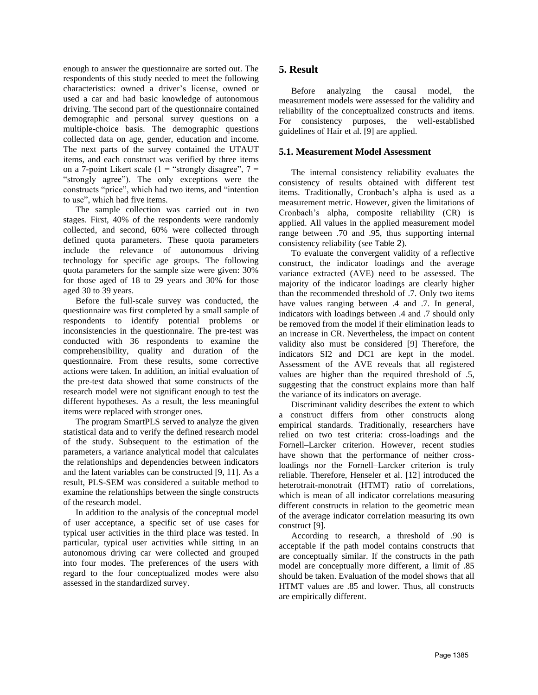enough to answer the questionnaire are sorted out. The respondents of this study needed to meet the following characteristics: owned a driver's license, owned or used a car and had basic knowledge of autonomous driving. The second part of the questionnaire contained demographic and personal survey questions on a multiple-choice basis. The demographic questions collected data on age, gender, education and income. The next parts of the survey contained the UTAUT items, and each construct was verified by three items on a 7-point Likert scale (1 = "strongly disagree",  $7 =$ "strongly agree"). The only exceptions were the constructs "price", which had two items, and "intention to use", which had five items.

The sample collection was carried out in two stages. First, 40% of the respondents were randomly collected, and second, 60% were collected through defined quota parameters. These quota parameters include the relevance of autonomous driving technology for specific age groups. The following quota parameters for the sample size were given: 30% for those aged of 18 to 29 years and 30% for those aged 30 to 39 years.

Before the full-scale survey was conducted, the questionnaire was first completed by a small sample of respondents to identify potential problems or inconsistencies in the questionnaire. The pre-test was conducted with 36 respondents to examine the comprehensibility, quality and duration of the questionnaire. From these results, some corrective actions were taken. In addition, an initial evaluation of the pre-test data showed that some constructs of the research model were not significant enough to test the different hypotheses. As a result, the less meaningful items were replaced with stronger ones.

The program SmartPLS served to analyze the given statistical data and to verify the defined research model of the study. Subsequent to the estimation of the parameters, a variance analytical model that calculates the relationships and dependencies between indicators and the latent variables can be constructed [9, 11]. As a result, PLS-SEM was considered a suitable method to examine the relationships between the single constructs of the research model.

In addition to the analysis of the conceptual model of user acceptance, a specific set of use cases for typical user activities in the third place was tested. In particular, typical user activities while sitting in an autonomous driving car were collected and grouped into four modes. The preferences of the users with regard to the four conceptualized modes were also assessed in the standardized survey.

### **5. Result**

Before analyzing the causal model, the measurement models were assessed for the validity and reliability of the conceptualized constructs and items. For consistency purposes, the well-established guidelines of Hair et al. [9] are applied.

### **5.1. Measurement Model Assessment**

The internal consistency reliability evaluates the consistency of results obtained with different test items. Traditionally, Cronbach's alpha is used as a measurement metric. However, given the limitations of Cronbach's alpha, composite reliability (CR) is applied. All values in the applied measurement model range between .70 and .95, thus supporting internal consistency reliability (see [Table](#page-5-0) 2).

To evaluate the convergent validity of a reflective construct, the indicator loadings and the average variance extracted (AVE) need to be assessed. The majority of the indicator loadings are clearly higher than the recommended threshold of .7. Only two items have values ranging between  $.4$  and  $.7$ . In general, indicators with loadings between .4 and .7 should only be removed from the model if their elimination leads to an increase in CR. Nevertheless, the impact on content validity also must be considered [9] Therefore, the indicators SI2 and DC1 are kept in the model. Assessment of the AVE reveals that all registered values are higher than the required threshold of .5, suggesting that the construct explains more than half the variance of its indicators on average.

Discriminant validity describes the extent to which a construct differs from other constructs along empirical standards. Traditionally, researchers have relied on two test criteria: cross-loadings and the Fornell–Larcker criterion. However, recent studies have shown that the performance of neither crossloadings nor the Fornell–Larcker criterion is truly reliable. Therefore, Henseler et al. [12] introduced the heterotrait-monotrait (HTMT) ratio of correlations, which is mean of all indicator correlations measuring different constructs in relation to the geometric mean of the average indicator correlation measuring its own construct [9].

According to research, a threshold of .90 is acceptable if the path model contains constructs that are conceptually similar. If the constructs in the path model are conceptually more different, a limit of .85 should be taken. Evaluation of the model shows that all HTMT values are .85 and lower. Thus, all constructs are empirically different.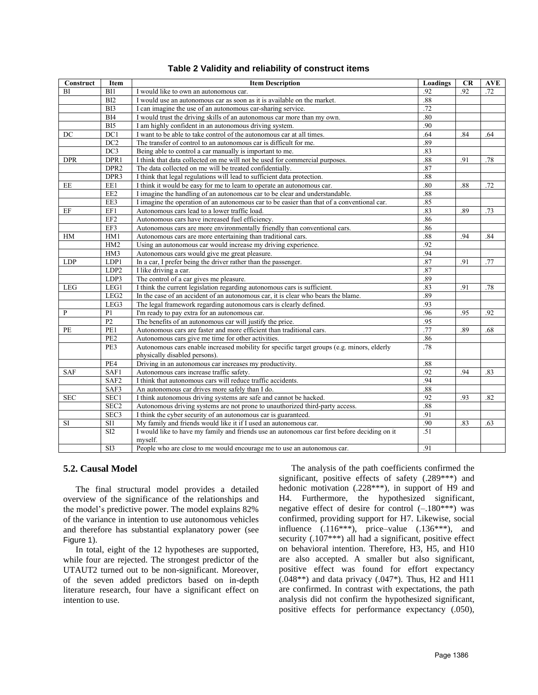<span id="page-5-0"></span>

| Construct  | Item             | <b>Item Description</b>                                                                                 | Loadings | CR  | <b>AVE</b> |
|------------|------------------|---------------------------------------------------------------------------------------------------------|----------|-----|------------|
| BI         | BI1              | I would like to own an autonomous car.                                                                  | .92      | .92 | .72        |
|            | BI2              | I would use an autonomous car as soon as it is available on the market.                                 | .88      |     |            |
|            | BI3              | I can imagine the use of an autonomous car-sharing service.                                             | .72      |     |            |
|            | BI4              | I would trust the driving skills of an autonomous car more than my own.                                 |          |     |            |
|            | $\overline{BI5}$ | I am highly confident in an autonomous driving system.                                                  | .90      |     |            |
| DC         | DC1              | I want to be able to take control of the autonomous car at all times.                                   | .64      | .84 | .64        |
|            | DC2              | The transfer of control to an autonomous car is difficult for me.                                       |          |     |            |
|            | DC3              | Being able to control a car manually is important to me.                                                | .83      |     |            |
| <b>DPR</b> | DPR1             | I think that data collected on me will not be used for commercial purposes.                             | .88      | .91 | .78        |
|            | DPR <sub>2</sub> | The data collected on me will be treated confidentially.                                                | .87      |     |            |
|            | DPR <sub>3</sub> | I think that legal regulations will lead to sufficient data protection.                                 | .88      |     |            |
| EE         | EE1              | I think it would be easy for me to learn to operate an autonomous car.                                  | .80      | .88 | .72        |
|            | EE2              | I imagine the handling of an autonomous car to be clear and understandable.                             | .88      |     |            |
|            | EE3              | I imagine the operation of an autonomous car to be easier than that of a conventional car.              | .85      |     |            |
| EF1<br>EF  |                  | Autonomous cars lead to a lower traffic load.                                                           | .83      | .89 | .73        |
|            | EF <sub>2</sub>  | Autonomous cars have increased fuel efficiency.                                                         | .86      |     |            |
|            | EF3              | Autonomous cars are more environmentally friendly than conventional cars.                               | .86      |     |            |
| HM         | HM1              | Autonomous cars are more entertaining than traditional cars.                                            | .88      | .94 | .84        |
|            | HM2              | Using an autonomous car would increase my driving experience.                                           | .92      |     |            |
|            | HM3              | Autonomous cars would give me great pleasure.                                                           | .94      |     |            |
| <b>LDP</b> | LDP1             | In a car, I prefer being the driver rather than the passenger.                                          | .87      | .91 | .77        |
|            | LDP <sub>2</sub> | I like driving a car.                                                                                   | .87      |     |            |
|            | LDP3             | The control of a car gives me pleasure.                                                                 | .89      |     |            |
| <b>LEG</b> | LEG1             | I think the current legislation regarding autonomous cars is sufficient.                                | .83      | .91 | .78        |
|            | LEG <sub>2</sub> | In the case of an accident of an autonomous car, it is clear who bears the blame.                       | .89      |     |            |
|            | LEG3             | The legal framework regarding autonomous cars is clearly defined.                                       | .93      |     |            |
| P          | P <sub>1</sub>   | I'm ready to pay extra for an autonomous car.                                                           | .96      | .95 | .92        |
|            | P <sub>2</sub>   | The benefits of an autonomous car will justify the price.                                               | .95      |     |            |
| PE         | PE1              | Autonomous cars are faster and more efficient than traditional cars.                                    | .77      | .89 | .68        |
|            | PE <sub>2</sub>  | Autonomous cars give me time for other activities.                                                      | .86      |     |            |
|            | PE3              | Autonomous cars enable increased mobility for specific target groups (e.g. minors, elderly              | .78      |     |            |
|            |                  | physically disabled persons).                                                                           |          |     |            |
|            | PE4              | Driving in an autonomous car increases my productivity.                                                 | .88      |     |            |
| <b>SAF</b> | SAF1             | Autonomous cars increase traffic safety.                                                                | .92      | .94 | .83        |
|            | SAF <sub>2</sub> | I think that autonomous cars will reduce traffic accidents.                                             | .94      |     |            |
|            | SAF3             | An autonomous car drives more safely than I do.                                                         | .88      |     |            |
| <b>SEC</b> | SEC1             | I think autonomous driving systems are safe and cannot be hacked.                                       | .92      | .93 | .82        |
|            | SEC <sub>2</sub> | Autonomous driving systems are not prone to unauthorized third-party access.                            | .88      |     |            |
|            | SEC3             | I think the cyber security of an autonomous car is guaranteed.                                          | .91      |     |            |
| SI         | SI1              | My family and friends would like it if I used an autonomous car.                                        | .90      | .83 | .63        |
|            | $\overline{SI2}$ | I would like to have my family and friends use an autonomous car first before deciding on it<br>myself. | .51      |     |            |
|            | SI3              | People who are close to me would encourage me to use an autonomous car.                                 | .91      |     |            |
|            |                  |                                                                                                         |          |     |            |

#### **Table 2 Validity and reliability of construct items**

### **5.2. Causal Model**

The final structural model provides a detailed overview of the significance of the relationships and the model's predictive power. The model explains 82% of the variance in intention to use autonomous vehicles and therefore has substantial explanatory power (see [Figure 1](#page-6-0)).

In total, eight of the 12 hypotheses are supported, while four are rejected. The strongest predictor of the UTAUT2 turned out to be non-significant. Moreover, of the seven added predictors based on in-depth literature research, four have a significant effect on intention to use.

The analysis of the path coefficients confirmed the significant, positive effects of safety (.289\*\*\*) and hedonic motivation (.228\*\*\*), in support of H9 and H4. Furthermore, the hypothesized significant, negative effect of desire for control  $(-.180^{***})$  was confirmed, providing support for H7. Likewise, social influence  $(.116***)$ , price–value  $(.136***)$ , and security (.107\*\*\*) all had a significant, positive effect on behavioral intention. Therefore, H3, H5, and H10 are also accepted. A smaller but also significant, positive effect was found for effort expectancy  $(.048**)$  and data privacy  $(.047*)$ . Thus, H<sub>2</sub> and H<sub>11</sub> are confirmed. In contrast with expectations, the path analysis did not confirm the hypothesized significant, positive effects for performance expectancy (.050),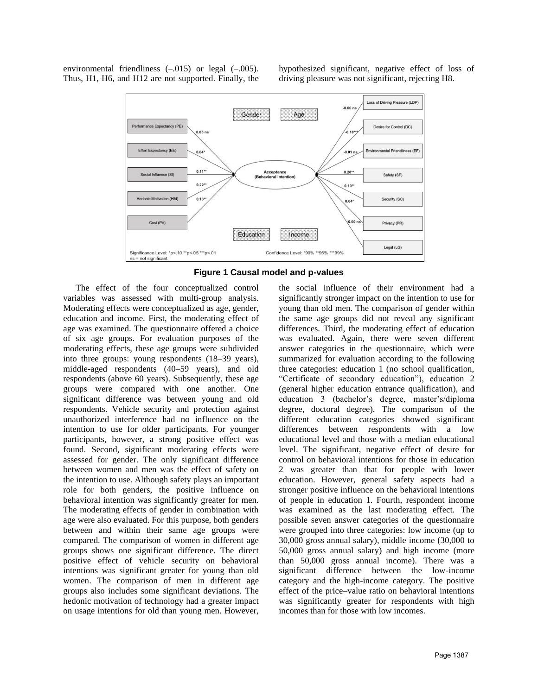environmental friendliness  $(-.015)$  or legal  $(-.005)$ . Thus, H1, H6, and H12 are not supported. Finally, the hypothesized significant, negative effect of loss of driving pleasure was not significant, rejecting H8.



**Figure 1 Causal model and p-values**

<span id="page-6-0"></span>The effect of the four conceptualized control variables was assessed with multi-group analysis. Moderating effects were conceptualized as age, gender, education and income. First, the moderating effect of age was examined. The questionnaire offered a choice of six age groups. For evaluation purposes of the moderating effects, these age groups were subdivided into three groups: young respondents (18–39 years), middle-aged respondents (40–59 years), and old respondents (above 60 years). Subsequently, these age groups were compared with one another. One significant difference was between young and old respondents. Vehicle security and protection against unauthorized interference had no influence on the intention to use for older participants. For younger participants, however, a strong positive effect was found. Second, significant moderating effects were assessed for gender. The only significant difference between women and men was the effect of safety on the intention to use. Although safety plays an important role for both genders, the positive influence on behavioral intention was significantly greater for men. The moderating effects of gender in combination with age were also evaluated. For this purpose, both genders between and within their same age groups were compared. The comparison of women in different age groups shows one significant difference. The direct positive effect of vehicle security on behavioral intentions was significant greater for young than old women. The comparison of men in different age groups also includes some significant deviations. The hedonic motivation of technology had a greater impact on usage intentions for old than young men. However,

the social influence of their environment had a significantly stronger impact on the intention to use for young than old men. The comparison of gender within the same age groups did not reveal any significant differences. Third, the moderating effect of education was evaluated. Again, there were seven different answer categories in the questionnaire, which were summarized for evaluation according to the following three categories: education 1 (no school qualification, "Certificate of secondary education"), education 2 (general higher education entrance qualification), and education 3 (bachelor's degree, master's/diploma degree, doctoral degree). The comparison of the different education categories showed significant differences between respondents with a low educational level and those with a median educational level. The significant, negative effect of desire for control on behavioral intentions for those in education 2 was greater than that for people with lower education. However, general safety aspects had a stronger positive influence on the behavioral intentions of people in education 1. Fourth, respondent income was examined as the last moderating effect. The possible seven answer categories of the questionnaire were grouped into three categories: low income (up to 30,000 gross annual salary), middle income (30,000 to 50,000 gross annual salary) and high income (more than 50,000 gross annual income). There was a significant difference between the low-income category and the high-income category. The positive effect of the price–value ratio on behavioral intentions was significantly greater for respondents with high incomes than for those with low incomes.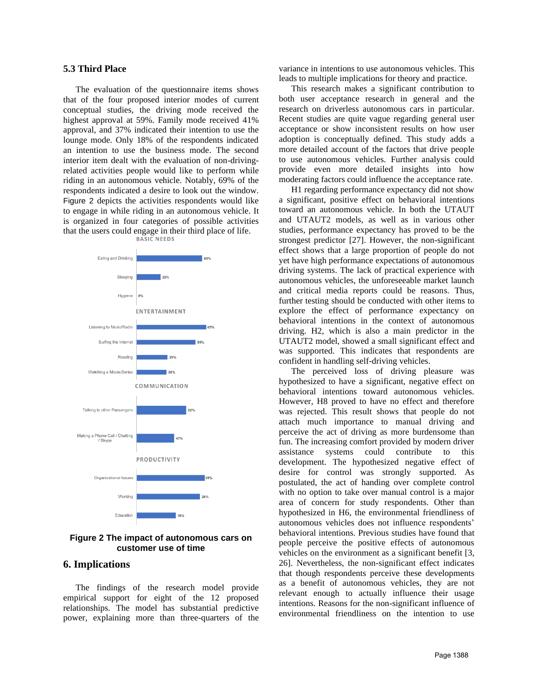#### **5.3 Third Place**

The evaluation of the questionnaire items shows that of the four proposed interior modes of current conceptual studies, the driving mode received the highest approval at 59%. Family mode received 41% approval, and 37% indicated their intention to use the lounge mode. Only 18% of the respondents indicated an intention to use the business mode. The second interior item dealt with the evaluation of non-drivingrelated activities people would like to perform while riding in an autonomous vehicle. Notably, 69% of the respondents indicated a desire to look out the window. [Figure 2](#page-7-0) depicts the activities respondents would like to engage in while riding in an autonomous vehicle. It is organized in four categories of possible activities that the users could engage in their third place of life.<br>BASIC NEEDS



<span id="page-7-0"></span>**Figure 2 The impact of autonomous cars on customer use of time**

#### **6. Implications**

The findings of the research model provide empirical support for eight of the 12 proposed relationships. The model has substantial predictive power, explaining more than three-quarters of the variance in intentions to use autonomous vehicles. This leads to multiple implications for theory and practice.

This research makes a significant contribution to both user acceptance research in general and the research on driverless autonomous cars in particular. Recent studies are quite vague regarding general user acceptance or show inconsistent results on how user adoption is conceptually defined. This study adds a more detailed account of the factors that drive people to use autonomous vehicles. Further analysis could provide even more detailed insights into how moderating factors could influence the acceptance rate.

H1 regarding performance expectancy did not show a significant, positive effect on behavioral intentions toward an autonomous vehicle. In both the UTAUT and UTAUT2 models, as well as in various other studies, performance expectancy has proved to be the strongest predictor [27]. However, the non-significant effect shows that a large proportion of people do not yet have high performance expectations of autonomous driving systems. The lack of practical experience with autonomous vehicles, the unforeseeable market launch and critical media reports could be reasons. Thus, further testing should be conducted with other items to explore the effect of performance expectancy on behavioral intentions in the context of autonomous driving. H2, which is also a main predictor in the UTAUT2 model, showed a small significant effect and was supported. This indicates that respondents are confident in handling self-driving vehicles.

The perceived loss of driving pleasure was hypothesized to have a significant, negative effect on behavioral intentions toward autonomous vehicles. However, H8 proved to have no effect and therefore was rejected. This result shows that people do not attach much importance to manual driving and perceive the act of driving as more burdensome than fun. The increasing comfort provided by modern driver assistance systems could contribute to this development. The hypothesized negative effect of desire for control was strongly supported. As postulated, the act of handing over complete control with no option to take over manual control is a major area of concern for study respondents. Other than hypothesized in H6, the environmental friendliness of autonomous vehicles does not influence respondents' behavioral intentions. Previous studies have found that people perceive the positive effects of autonomous vehicles on the environment as a significant benefit [3, 26]. Nevertheless, the non-significant effect indicates that though respondents perceive these developments as a benefit of autonomous vehicles, they are not relevant enough to actually influence their usage intentions. Reasons for the non-significant influence of environmental friendliness on the intention to use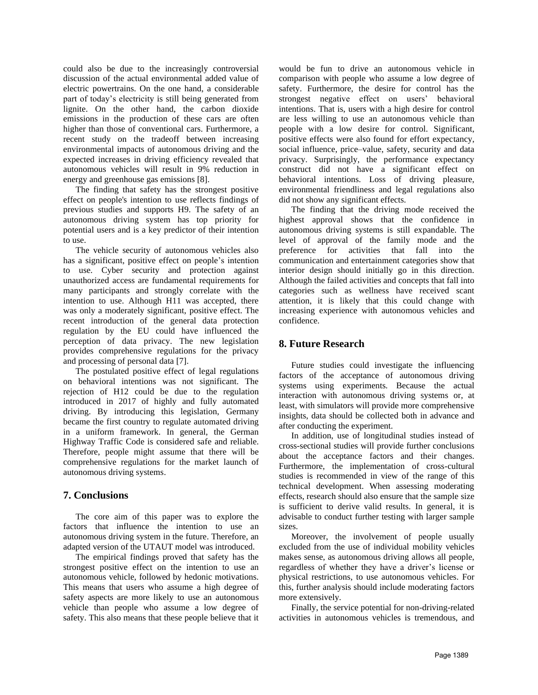could also be due to the increasingly controversial discussion of the actual environmental added value of electric powertrains. On the one hand, a considerable part of today's electricity is still being generated from lignite. On the other hand, the carbon dioxide emissions in the production of these cars are often higher than those of conventional cars. Furthermore, a recent study on the tradeoff between increasing environmental impacts of autonomous driving and the expected increases in driving efficiency revealed that autonomous vehicles will result in 9% reduction in energy and greenhouse gas emissions [8].

The finding that safety has the strongest positive effect on people's intention to use reflects findings of previous studies and supports H9. The safety of an autonomous driving system has top priority for potential users and is a key predictor of their intention to use.

The vehicle security of autonomous vehicles also has a significant, positive effect on people's intention to use. Cyber security and protection against unauthorized access are fundamental requirements for many participants and strongly correlate with the intention to use. Although H11 was accepted, there was only a moderately significant, positive effect. The recent introduction of the general data protection regulation by the EU could have influenced the perception of data privacy. The new legislation provides comprehensive regulations for the privacy and processing of personal data [7].

The postulated positive effect of legal regulations on behavioral intentions was not significant. The rejection of H12 could be due to the regulation introduced in 2017 of highly and fully automated driving. By introducing this legislation, Germany became the first country to regulate automated driving in a uniform framework. In general, the German Highway Traffic Code is considered safe and reliable. Therefore, people might assume that there will be comprehensive regulations for the market launch of autonomous driving systems.

### **7. Conclusions**

The core aim of this paper was to explore the factors that influence the intention to use an autonomous driving system in the future. Therefore, an adapted version of the UTAUT model was introduced.

The empirical findings proved that safety has the strongest positive effect on the intention to use an autonomous vehicle, followed by hedonic motivations. This means that users who assume a high degree of safety aspects are more likely to use an autonomous vehicle than people who assume a low degree of safety. This also means that these people believe that it

would be fun to drive an autonomous vehicle in comparison with people who assume a low degree of safety. Furthermore, the desire for control has the strongest negative effect on users' behavioral intentions. That is, users with a high desire for control are less willing to use an autonomous vehicle than people with a low desire for control. Significant, positive effects were also found for effort expectancy, social influence, price–value, safety, security and data privacy. Surprisingly, the performance expectancy construct did not have a significant effect on behavioral intentions. Loss of driving pleasure, environmental friendliness and legal regulations also did not show any significant effects.

The finding that the driving mode received the highest approval shows that the confidence in autonomous driving systems is still expandable. The level of approval of the family mode and the preference for activities that fall into the communication and entertainment categories show that interior design should initially go in this direction. Although the failed activities and concepts that fall into categories such as wellness have received scant attention, it is likely that this could change with increasing experience with autonomous vehicles and confidence.

## **8. Future Research**

Future studies could investigate the influencing factors of the acceptance of autonomous driving systems using experiments. Because the actual interaction with autonomous driving systems or, at least, with simulators will provide more comprehensive insights, data should be collected both in advance and after conducting the experiment.

In addition, use of longitudinal studies instead of cross-sectional studies will provide further conclusions about the acceptance factors and their changes. Furthermore, the implementation of cross-cultural studies is recommended in view of the range of this technical development. When assessing moderating effects, research should also ensure that the sample size is sufficient to derive valid results. In general, it is advisable to conduct further testing with larger sample sizes.

Moreover, the involvement of people usually excluded from the use of individual mobility vehicles makes sense, as autonomous driving allows all people, regardless of whether they have a driver's license or physical restrictions, to use autonomous vehicles. For this, further analysis should include moderating factors more extensively.

Finally, the service potential for non-driving-related activities in autonomous vehicles is tremendous, and